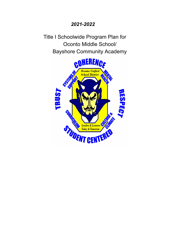## *2021-2022*

Title I Schoolwide Program Plan for Oconto Middle School/ Bayshore Community Academy

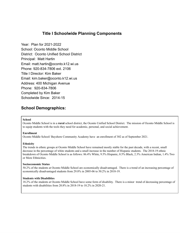## **Title I Schoolwide Planning Components**

Year: Plan for 2021-2022 School: Oconto Middle School District: Oconto Unified School District Principal: Matt Hartin Email: matt.hartin@oconto.k12.wi.us Phone: 920-834-7806 ext. 2106 Title I Director: Kim Baker Email: kim.baker@oconto.k12.wi.us Address: 400 Michigan Avenue Phone: 920-834-7806 Completed by Kim Baker Schoolwide Since: 2014-15

## **School Demographics:**

#### **School**

Oconto Middle School is in a **rural** school district, the Oconto Unified School District. The mission of Oconto Middle School is to equip students with the tools they need for academic, personal, and social achievement.

#### **Enrollment**

Oconto Middle School/ Bayshore Community Academy have an enrollment of 302 as of September 2021.

#### **Ethnicity**

The trends in ethnic groups at Oconto Middle School have remained mostly stable for the past decade, with a recent, small decrease in the percentage of white students and a small increase in the number of Hispanic students. The 2018-19 ethnic breakdown of Oconto Middle School is as follows: 86.4% White, 9.5% Hispanic, 0.5% Black, 2.3% American Indian, 1.4% Two or More Ethnicities.

#### **Socioeconomic Status**

50.2% of the students at Oconto Middle School are economically disadvantaged. There is a trend of an increasing percentage of economically disadvantaged students from 29.8% in 2005-06 to 50.2% in 2018-19.

#### **Students with Disabilities**

18.2% of the students at Oconto Middle School have some form of disability. There is a minor trend of decreasing percentage of students with disabilities from 20.8% in 2018-19 to 18.2% in 2020-21.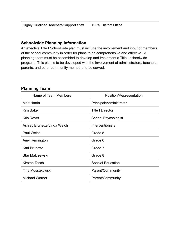| <b>Highly Qualified Teachers/Support Staff</b> | 100% District Office |
|------------------------------------------------|----------------------|
|------------------------------------------------|----------------------|

### **Schoolwide Planning Information**

An effective Title I Schoolwide plan must include the involvement and input of members of the school community in order for plans to be comprehensive and effective. A planning team must be assembled to develop and implement a Title I schoolwide program. This plan is to be developed with the involvement of administrators, teachers, parents, and other community members to be served.

| <b>Name of Team Members</b> | Position/Representation    |
|-----------------------------|----------------------------|
| <b>Matt Hartin</b>          | Principal/Administrator    |
| <b>Kim Baker</b>            | <b>Title I Director</b>    |
| <b>Kris Ravet</b>           | <b>School Psychologist</b> |
| Ashley Brunette/Linda Welch | <b>Interventionists</b>    |
| Paul Welch                  | Grade 5                    |
| Amy Remington               | Grade 6                    |
| <b>Kari Brunette</b>        | Grade 7                    |
| <b>Star Malczewski</b>      | Grade 8                    |
| Kirsten Tesch               | <b>Special Education</b>   |
| Tina Mossakowski            | Parent/Community           |
| <b>Michael Werner</b>       | Parent/Community           |

## **Planning Team**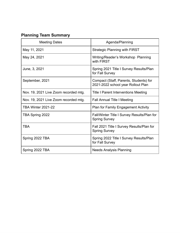# **Planning Team Summary**

| <b>Meeting Dates</b>                  | Agenda/Planning                                                              |
|---------------------------------------|------------------------------------------------------------------------------|
| May 11, 2021                          | <b>Strategic Planning with FIRST</b>                                         |
| May 24, 2021                          | Writing/Reader's Workshop Planning<br>with FIRST                             |
| June, 3, 2021                         | Spring 2021 Title I Survey Results/Plan<br>for Fall Survey                   |
| September, 2021                       | Compact (Staff, Parents, Students) for<br>2021-2022 school year Rollout Plan |
| Nov. 19, 2021 Live Zoom recorded mtg. | <b>Title I Parent Interventions Meeting</b>                                  |
| Nov. 19, 2021 Live Zoom recorded mtg. | <b>Fall Annual Title I Meeting</b>                                           |
| <b>TBA Winter 2021-22</b>             | <b>Plan for Family Engagement Activity</b>                                   |
| TBA Spring 2022                       | Fall/Winter Title I Survey Results/Plan for<br><b>Spring Survey</b>          |
| <b>TBA</b>                            | Fall 2021 Title I Survey Results/Plan for<br><b>Spring Survey</b>            |
| Spring 2022 TBA                       | Spring 2022 Title I Survey Results/Plan<br>for Fall Survey                   |
| Spring 2022 TBA                       | <b>Needs Analysis Planning</b>                                               |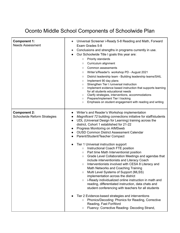# Oconto Middle School Components of Schoolwide Plan

| <b>Component 1:</b><br><b>Needs Assessment</b>             | Universal Screener i-Ready 5-8 Reading and Math, Forward<br>Exam Grades 5-8<br>Conclusions and strengths in programs currently in use.<br>Our Schoolwide Title I goals this year are:<br>Priority standards<br>$\circ$<br>Curriculum alignment<br>$\circ$<br>Common assessments<br>$\circ$<br>Writer's/Reader's workshop PD - August 2021<br>$\circ$<br>District leadership team - Building leadership teams/SAIL<br>$\circ$<br>Implement 90 day plans<br>$\circ$<br>Strengthen Tier I /universal instruction<br>$\circ$<br>Implement evidence based instruction that supports learning<br>$\circ$<br>for all students educational needs<br>Clarify strategies, interventions, accommodations<br>$\circ$<br>Prepare/implement Tier I tracking<br>$\circ$<br>Emphasis on student engagement with reading and writing<br>$\circ$                                                                                                                                                                                                                                                                                                                                                                                             |
|------------------------------------------------------------|----------------------------------------------------------------------------------------------------------------------------------------------------------------------------------------------------------------------------------------------------------------------------------------------------------------------------------------------------------------------------------------------------------------------------------------------------------------------------------------------------------------------------------------------------------------------------------------------------------------------------------------------------------------------------------------------------------------------------------------------------------------------------------------------------------------------------------------------------------------------------------------------------------------------------------------------------------------------------------------------------------------------------------------------------------------------------------------------------------------------------------------------------------------------------------------------------------------------------|
| <b>Component 2:</b><br><b>Schoolwide Reform Strategies</b> | Writer's and Reader's Workshop implementation<br>Magnificent 72 building connections initiative for staff/students<br>UDL (Universal Design for Learning) training across the<br>district, Cohort 1 established for 21-22<br>Progress Monitoring on AIMSweb<br><b>OUSD Common District Assessment Calendar</b><br>Parent/Student/Teacher Compact<br>$\bullet$<br>Tier 1 Universal instruction support<br>Instructional Coach FTE position<br>$\circ$<br>Part time Math Interventionist position<br>$\circ$<br>Grade Level Collaboration Meetings and agendas that<br>$\circ$<br>include interventionists and Literacy Coach<br>Interventionists involved with CESA 8 Literacy and<br>$\circ$<br>Math Networks and Coaching Training<br>Multi Level Systems of Support (MLSS)<br>$\circ$<br>implementation across the district<br>i-Ready individualized online instruction in math and<br>$\circ$<br>reading, differentiated instruction, data chats and<br>student conferencing with teachers for all students<br>Tier 2 Evidence-based strategies and interventions<br>Phonics/Decoding: Phonics for Reading, Corrective<br>$\circ$<br>Reading, Fast ForWord<br>Fluency: Corrective Reading- Decoding Strand,<br>$\circ$ |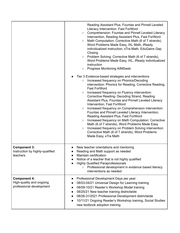|                                                                             | Reading Assistant Plus, Fountas and Pinnell Leveled<br>Literacy Intervention, Fast ForWord<br><b>Comprehension: Fountas and Pinnell Leveled Literacy</b><br>$\circlearrowright$<br>Intervention, Reading Assistant Plus, Fast ForWord<br>Math Computation: Corrective Math (6 of 7 strands),<br>$\circ$<br>Word Problems Made Easy, IXL Math, iReady<br>individualized instruction, xTra Math, EduGains Gap<br>Closing<br>Problem Solving: Corrective Math (6 of 7 strands),<br>$\circ$<br>Word Problems Made Easy, IXL, iReady individualized<br>instruction<br><b>Progress Monitoring AIMSweb</b><br>$\circ$<br>Tier 3 Evidence-based strategies and interventions<br>Increased frequency on Phonics/Decoding<br>$\bigcirc$<br>intervention: Phonics for Reading, Corrective Reading,<br><b>Fast ForWord</b><br>Increased frequency on Fluency intervention:<br>$\circ$<br>Corrective Reading- Decoding Strand, Reading<br>Assistant Plus, Fountas and Pinnell Leveled Literacy<br>Intervention, Fast ForWord<br>Increased frequency on Comprehension intervention:<br>$\bigcirc$<br>Fountas and Pinnell Leveled Literacy Intervention,<br>Reading Assistant Plus, Fast ForWord<br>Increased frequency on Math Computation: Corrective<br>$\circ$<br>Math (6 of 7 strands), Word Problems Made Easy<br>Increased frequency on Problem Solving intervention:<br>$\circ$<br>Corrective Math (6 of 7 strands), Word Problems<br>Made Easy, xTra Math |
|-----------------------------------------------------------------------------|-----------------------------------------------------------------------------------------------------------------------------------------------------------------------------------------------------------------------------------------------------------------------------------------------------------------------------------------------------------------------------------------------------------------------------------------------------------------------------------------------------------------------------------------------------------------------------------------------------------------------------------------------------------------------------------------------------------------------------------------------------------------------------------------------------------------------------------------------------------------------------------------------------------------------------------------------------------------------------------------------------------------------------------------------------------------------------------------------------------------------------------------------------------------------------------------------------------------------------------------------------------------------------------------------------------------------------------------------------------------------------------------------------------------------------------------------------|
| <b>Component 3:</b><br>Instruction by highly-qualified<br>teachers          | New teacher orientations and mentoring<br>Reading and Math support as needed<br>Maintain certification<br>Notice of a teacher that is not highly qualified<br><b>Highly Qualified Paraprofessionals</b><br>Professional development in evidence based literacy<br>$\circ$<br>interventions as needed                                                                                                                                                                                                                                                                                                                                                                                                                                                                                                                                                                                                                                                                                                                                                                                                                                                                                                                                                                                                                                                                                                                                                |
| <b>Component 4:</b><br>High-quality and ongoing<br>professional development | Professional Development Days per year:<br>08/03-04/21 Universal Design for Learning training<br>08/09-10/21 Reader's Workshop Model training<br>08/25/21 New teacher training districtwide<br>08/26-31/2021 Professional Development districtwide<br>10/11/21 Ongoing Reader's Workshop training, Social Studies<br>new textbook adoption training                                                                                                                                                                                                                                                                                                                                                                                                                                                                                                                                                                                                                                                                                                                                                                                                                                                                                                                                                                                                                                                                                                 |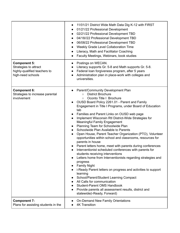|                                                                                                   | 11/01/21 District Wide Math Data Dig K-12 with FIRST<br>01/21/22 Professional Development<br>$\bullet$<br>02/21/22 Professional Development TBD<br>04/18//22 Professional Development TBD<br>$\bullet$<br>06/08/22 Professional Development TBD<br>Weekly Grade Level Collaboration Time<br>$\bullet$<br>Literacy, Math and Facilitator Coaching<br>Faculty Meetings, Webinars, book studies                                                                                                                                                                                                                                                                                                                                                                                                                                                                                                                                                                                                                                                                                                                                                                          |
|---------------------------------------------------------------------------------------------------|-----------------------------------------------------------------------------------------------------------------------------------------------------------------------------------------------------------------------------------------------------------------------------------------------------------------------------------------------------------------------------------------------------------------------------------------------------------------------------------------------------------------------------------------------------------------------------------------------------------------------------------------------------------------------------------------------------------------------------------------------------------------------------------------------------------------------------------------------------------------------------------------------------------------------------------------------------------------------------------------------------------------------------------------------------------------------------------------------------------------------------------------------------------------------|
| <b>Component 5:</b><br>Strategies to attract<br>highly-qualified teachers to<br>high-need schools | Postings on WECAN.<br>$\bullet$<br>Literacy supports Gr. 5-8 and Math supports Gr. 5-8.<br>$\bullet$<br>Federal loan forgiveness program, after 5 years<br>$\bullet$<br>Administration plan in place-work with colleges and<br>$\bullet$<br>universities.                                                                                                                                                                                                                                                                                                                                                                                                                                                                                                                                                                                                                                                                                                                                                                                                                                                                                                             |
| <b>Component 6:</b><br>Strategies to increase parental<br>involvement                             | Parent/Community Development Plan<br><b>District Brochure</b><br>$\circ$<br>Oconto Title   Brochure<br>$\circ$<br>OUSD Board Policy 2261.01 - Parent and Family<br>Engagement in Title I Programs, under Board of Education<br>tab<br>Families and Parent Links on OUSD web page<br>Implement Wisconsin RtI District-Wide Strategies for<br>$\bullet$<br><b>Meaningful Family Engagement</b><br>Planning Team for Schoolwide Plan<br>Schoolwide Plan Available to Parents<br>Open House, Parent Teacher Organization (PTO), Volunteer<br>opportunities within school and classrooms, resources for<br>parents in house<br>Parent letters home, meet with parents during conferences<br>Interventionist scheduled conferences with parents for<br>students receiving interventions<br>Letters home from Interventionists regarding strategies and<br>progress<br><b>Family Night</b><br>i-Ready Parent letters on progress and activities to support<br>learning<br>School/Parent/Student Learning Compact<br>All Calls for communication<br><b>Student-Parent OMS Handbook</b><br>Provide parents all assessment results, district and<br>statewide(i-Ready, Forward) |
| <b>Component 7:</b><br>Plans for assisting students in the                                        | <b>On-Demand New Family Orientations</b><br>$\bullet$<br><b>4K Transition</b>                                                                                                                                                                                                                                                                                                                                                                                                                                                                                                                                                                                                                                                                                                                                                                                                                                                                                                                                                                                                                                                                                         |